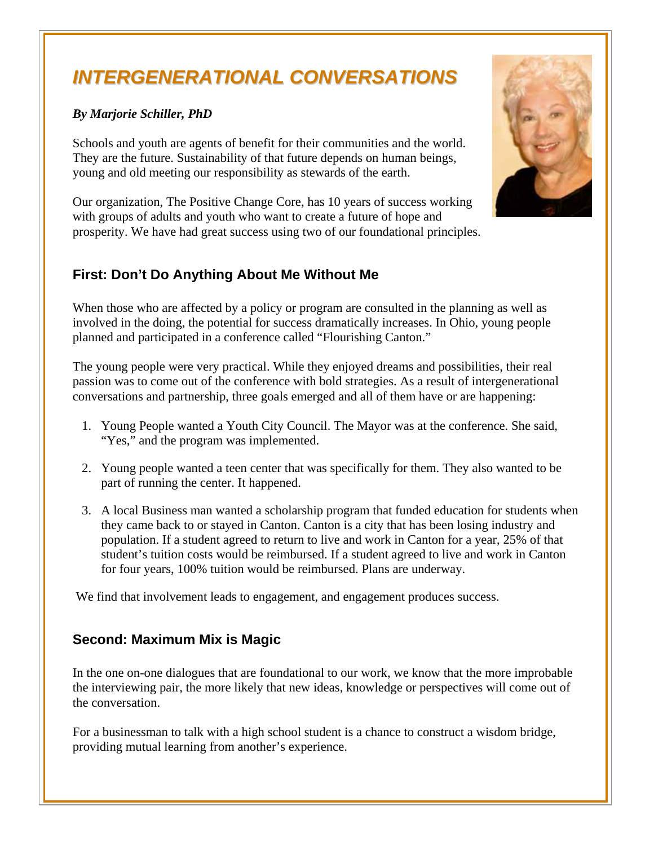# *INTERGENERATIONAL CONVERSATIONS*

### *By Marjorie Schiller, PhD*

Schools and youth are agents of benefit for their communities and the world. They are the future. Sustainability of that future depends on human beings, young and old meeting our responsibility as stewards of the earth.

Our organization, The Positive Change Core, has 10 years of success working with groups of adults and youth who want to create a future of hope and prosperity. We have had great success using two of our foundational principles.

# **First: Don't Do Anything About Me Without Me**

When those who are affected by a policy or program are consulted in the planning as well as involved in the doing, the potential for success dramatically increases. In Ohio, young people planned and participated in a conference called "Flourishing Canton."

The young people were very practical. While they enjoyed dreams and possibilities, their real passion was to come out of the conference with bold strategies. As a result of intergenerational conversations and partnership, three goals emerged and all of them have or are happening:

- 1. Young People wanted a Youth City Council. The Mayor was at the conference. She said, "Yes," and the program was implemented.
- 2. Young people wanted a teen center that was specifically for them. They also wanted to be part of running the center. It happened.
- 3. A local Business man wanted a scholarship program that funded education for students when they came back to or stayed in Canton. Canton is a city that has been losing industry and population. If a student agreed to return to live and work in Canton for a year, 25% of that student's tuition costs would be reimbursed. If a student agreed to live and work in Canton for four years, 100% tuition would be reimbursed. Plans are underway.

We find that involvement leads to engagement, and engagement produces success.

## **Second: Maximum Mix is Magic**

In the one on-one dialogues that are foundational to our work, we know that the more improbable the interviewing pair, the more likely that new ideas, knowledge or perspectives will come out of the conversation.

For a businessman to talk with a high school student is a chance to construct a wisdom bridge, providing mutual learning from another's experience.